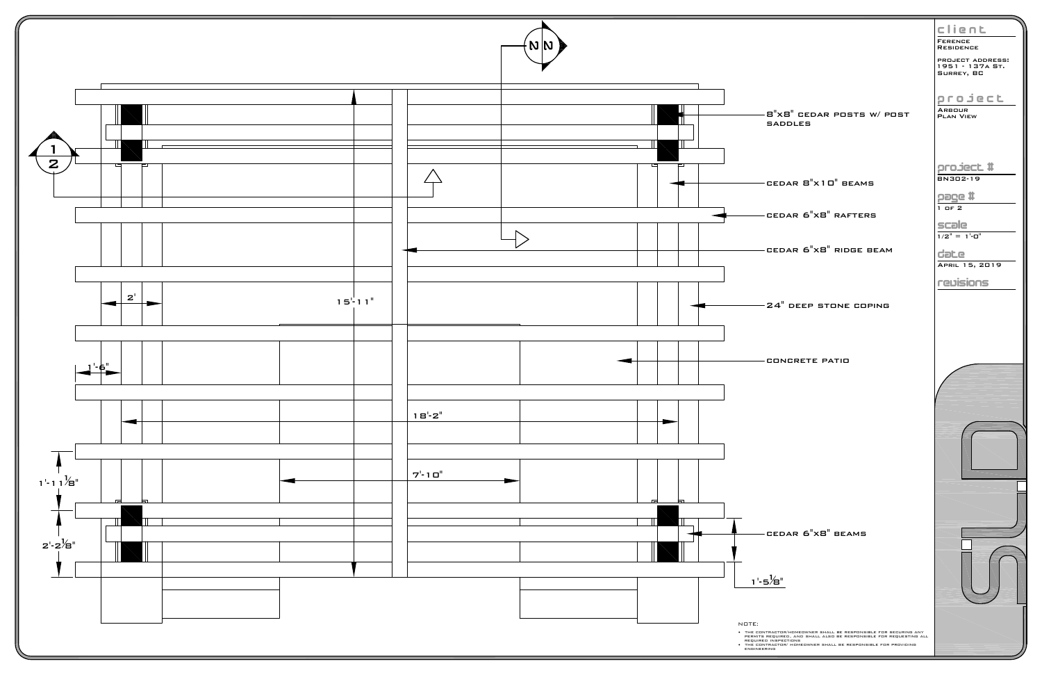

C I I Q N L<br>FERENCE<br>RESIDENCE | PROJECT ADDRESS:<br>| 1951 - 137A ST.<br>| SURREY, BC client<br>Ference<br>Residence<br>Project address:<br>1951 - 1374 St.<br>Surrey, BC<br>Project #<br>Arbour<br>Plan View<br>Plan View Clien<br>FERENCE<br>RESIDENCE<br>RESIDENCE<br>PROJECT<br>JOCOJECT<br>ARBOUR<br>PLAN VIEW<br>PLAN VIEW<br>PROJECT prolied<br><sup>BN302-1</sup><br>page # 1 of 2 prodect<br>BN302-19<br><mark>page #</mark><br>105 2<br>Scale<br>1/2" = 1'-0" page<br>1 or 2<br>scale<br>date PLAN VIEW<br>PLAN VIEW<br>PLAN VIEW<br>BN302-19<br>Page #<br>1 of 2<br>SCale<br>1/2" = 1'-0"<br>Cale<br>APRIL 15, 2019 CEDAR 8"X10" BEAMS<br>CEDAR 8"X10" BEAMS<br>CEDAR 6"X8" RAFTERS<br>CEDAR 6"X8" RIDGE BEAM<br>24" DEEP STONE COPING CEDAR 8"X10" B<br>CEDAR 6"X8" RAI<br>CEDAR 6"X8" RID<br>24" DEEP STONE -<br>-<br>1'-5<sup>1</sup>8"<br>NOTE:<br>NOTE:<br>• THE CONTRACTOR/HOMEOWNER SHALL BE RESPONSIBLE FOR SECURING ANY  $\begin{aligned} \texttt{CEDAR} \ \texttt{G}^{\textsf{II}} \texttt{X}\texttt{B}^{\textsf{II}} \ \texttt{BEAMS} \ \texttt{1}^{\textsf{I}}\texttt{-}\texttt{5}^{\textsf{II}}\ \texttt{D}^{\textsf{II}} \ \texttt{D}^{\textsf{II}} \ \texttt{D}^{\textsf{II}} \ \texttt{D}^{\textsf{II}} \ \texttt{D}^{\textsf{II}} \ \texttt{D}^{\textsf{II}} \ \texttt{D}^{\textsf{II}} \ \texttt{D}^{\textsf{II}} \ \texttt{D}^{\textsf{II}} \ \texttt{D}^{\text$ -<br>-<br>-<br>1'-5<sup>1</sup>/8"<br>-<br>NOTE:<br>FERNITS REQUIRED, AND SHALL BE RESPONSIBLE FOR SECURING AND SHALL ALSO BE RESPONSIBLE FOR REQUIRE<br>PREMINE REQUIRED, AND SHALL ALSO BE RESPONSIBLE FOR REQUIRED<br>REQUIRED INSPECTION:<br>THE COPYTRACTOR/H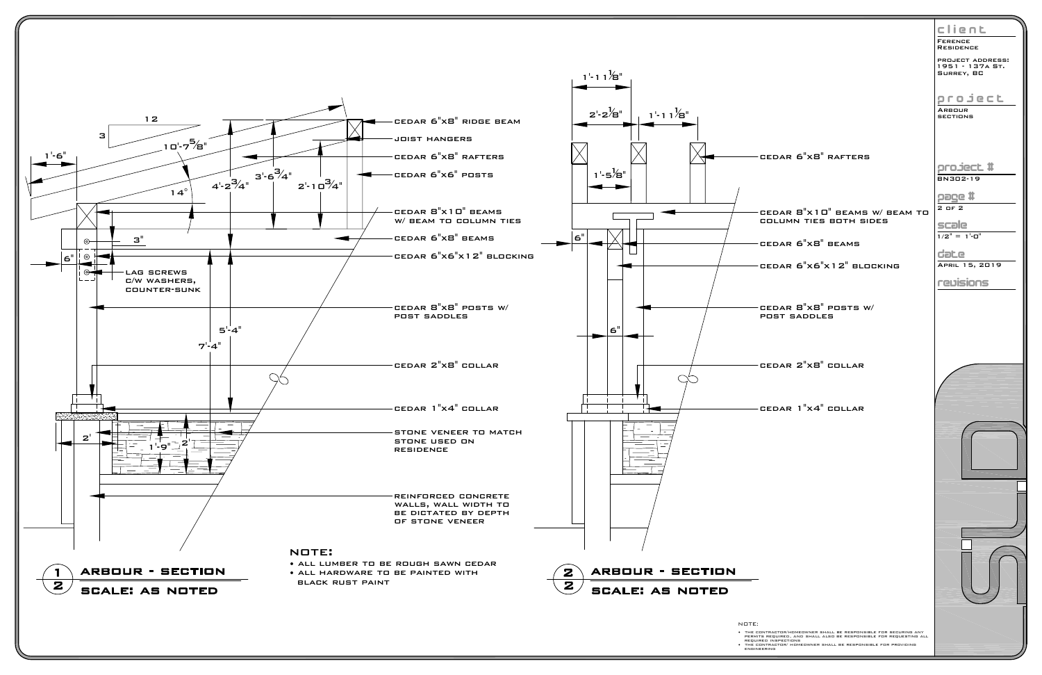

c l i e n t C I I G I C<br>Ference<br>Residence<br>PROJEC 137A ST.<br>1951 - 137A ST.<br>SURREY, BC<br>P C J Q C C L client<br>Ference<br>Residence<br>Project address:<br>1951 - 1374 St.<br>Surrey, BC<br>Project #<br>Arbour<br>Sections Clien<br>FERENCE<br>RESIDENCE<br>RESIDENCE<br>PROJECT<br>JPFOJECT<br>ARBOUR<br>SECTIONS<br>SECTIONS<br>PROJECT prolied<br><sup>BN302-1</sup><br>page # **C** | i d<br>
FERENCE<br>
RESIDE<br>
PROJECTION<br>
2 OF 2<br>
POC<br>
POC<br>
2 OF 2<br>
2 OF 2 scale 1/2" = 1'-0" page<br><sup>2 or 2</sup><br>scale<br>date PROJECT ADDRES<br>1951 - 1374 ST<br>SURREY, BC<br>**OFFO JECT**<br>ARBOUR<br>SECTIONS<br>BN302-19<br>**PROJECT**<br>2 OF 2<br>SCO**IC**<br>1/2" = 1'-0"<br>**COLE**<br>APRIL 15, 2019 · the contractor/homeowner shall be responsible for securing any **permits required, and shall also be repremient**<br>permits required, and shall also be responsible for requenting any<br>permits required, and shall also be responsible for requesting all **THE SECTABLE INSPECTABLE**<br>THE CONTRACTOR/HOME<br>PERNITS REQUIRED , AN<br>REQUIRED INSPECTIONS **NOTE:**<br>• The contractor/homeowner shall be responsible for securing any<br>• PEMITS REQUIREO, AND SHALL ALSO BE RESPONSIBLE FOR REQUESTING ALL<br>• THE CONTRACTOR/ HOMEOWNER SHALL BE RESPONSIBLE FOR PROVIDING<br>• THE CONTRACTOR/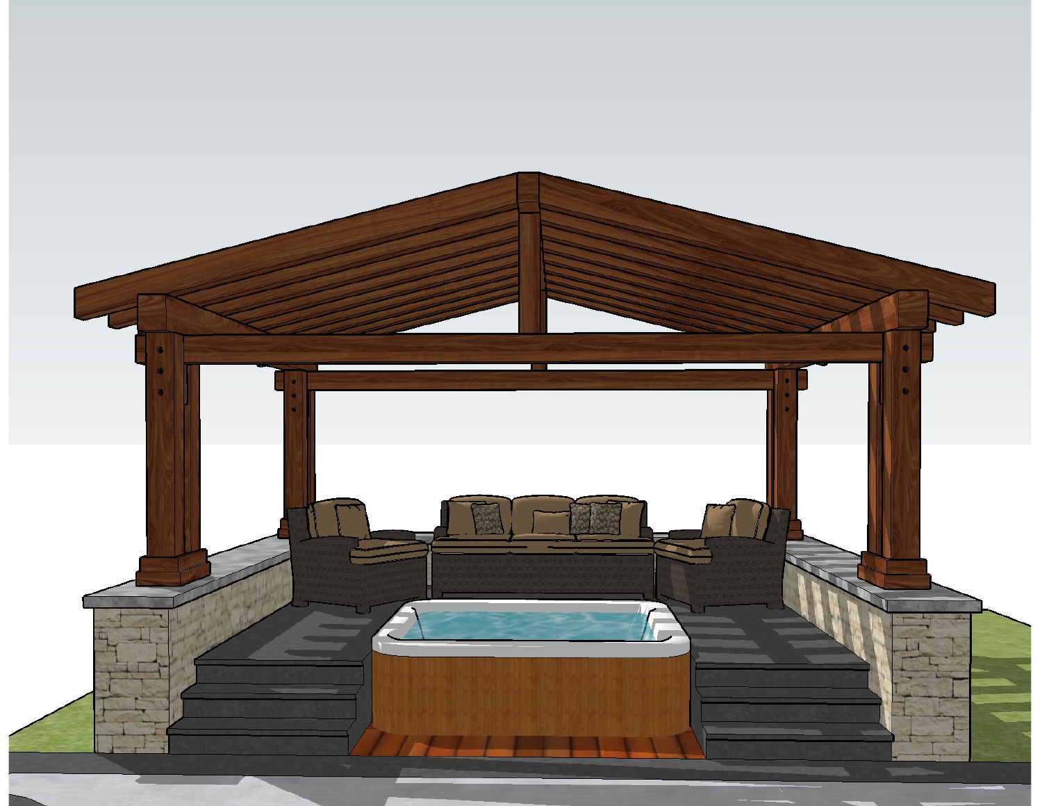